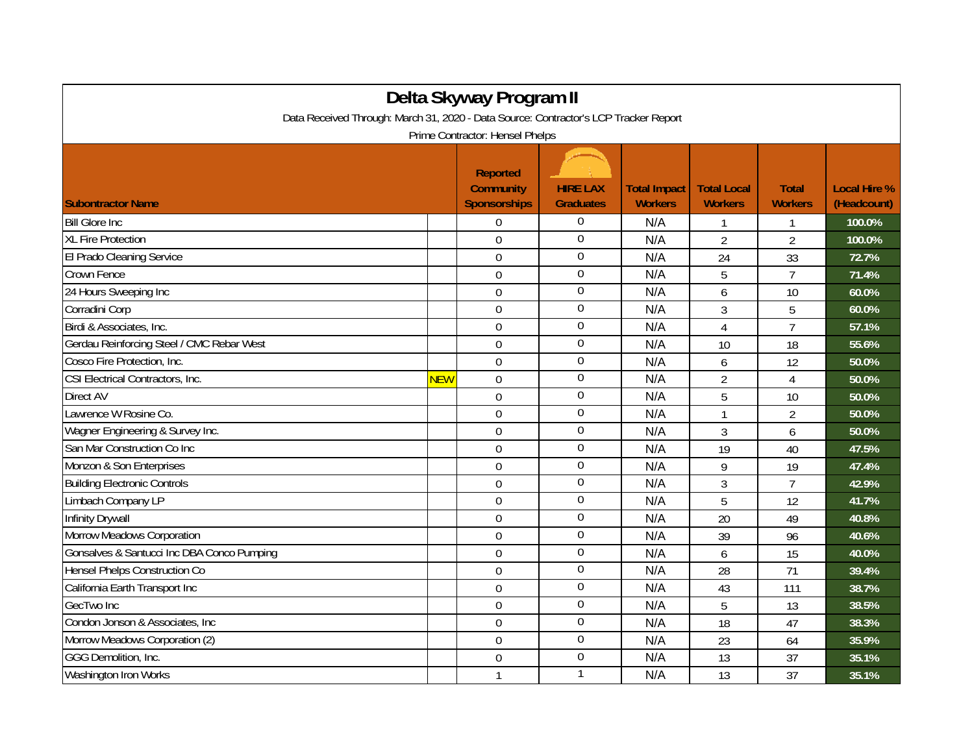| Data Received Through: March 31, 2020 - Data Source: Contractor's LCP Tracker Report |            | Delta Skyway Program II                                    |                                     |                                       |                                      |                                |                                    |  |
|--------------------------------------------------------------------------------------|------------|------------------------------------------------------------|-------------------------------------|---------------------------------------|--------------------------------------|--------------------------------|------------------------------------|--|
| Prime Contractor: Hensel Phelps                                                      |            |                                                            |                                     |                                       |                                      |                                |                                    |  |
| <b>Subontractor Name</b>                                                             |            | <b>Reported</b><br><b>Community</b><br><b>Sponsorships</b> | <b>HIRE LAX</b><br><b>Graduates</b> | <b>Total Impact</b><br><b>Workers</b> | <b>Total Local</b><br><b>Workers</b> | <b>Total</b><br><b>Workers</b> | <b>Local Hire %</b><br>(Headcount) |  |
| <b>Bill Glore Inc.</b>                                                               |            | $\Omega$                                                   | $\boldsymbol{0}$                    | N/A                                   |                                      | 1                              | 100.0%                             |  |
| <b>XL Fire Protection</b>                                                            |            | $\Omega$                                                   | $\mathbf 0$                         | N/A                                   | $\overline{2}$                       | $\overline{2}$                 | 100.0%                             |  |
| El Prado Cleaning Service                                                            |            | $\mathbf 0$                                                | $\boldsymbol{0}$                    | N/A                                   | 24                                   | 33                             | 72.7%                              |  |
| Crown Fence                                                                          |            | 0                                                          | $\mathbf 0$                         | N/A                                   | 5                                    | $\overline{7}$                 | 71.4%                              |  |
| 24 Hours Sweeping Inc                                                                |            | $\overline{0}$                                             | $\mathbf 0$                         | N/A                                   | 6                                    | 10                             | 60.0%                              |  |
| Corradini Corp                                                                       |            | $\overline{0}$                                             | $\boldsymbol{0}$                    | N/A                                   | 3                                    | 5                              | 60.0%                              |  |
| Birdi & Associates, Inc.                                                             |            | $\overline{0}$                                             | $\mathbf 0$                         | N/A                                   | 4                                    | $\overline{7}$                 | 57.1%                              |  |
| Gerdau Reinforcing Steel / CMC Rebar West                                            |            | $\mathbf 0$                                                | $\overline{0}$                      | N/A                                   | 10                                   | 18                             | 55.6%                              |  |
| Cosco Fire Protection, Inc.                                                          |            | $\mathbf 0$                                                | $\boldsymbol{0}$                    | N/A                                   | 6                                    | 12                             | 50.0%                              |  |
| CSI Electrical Contractors, Inc.                                                     | <b>NEW</b> | $\mathbf 0$                                                | $\boldsymbol{0}$                    | N/A                                   | $\overline{2}$                       | $\overline{4}$                 | 50.0%                              |  |
| Direct AV                                                                            |            | $\overline{0}$                                             | $\overline{0}$                      | N/A                                   | 5                                    | 10                             | 50.0%                              |  |
| Lawrence W Rosine Co.                                                                |            | 0                                                          | $\boldsymbol{0}$                    | N/A                                   | $\mathbf{1}$                         | $\overline{2}$                 | 50.0%                              |  |
| Wagner Engineering & Survey Inc.                                                     |            | $\overline{0}$                                             | $\boldsymbol{0}$                    | N/A                                   | 3                                    | 6                              | 50.0%                              |  |
| San Mar Construction Co Inc                                                          |            | $\mathbf 0$                                                | $\boldsymbol{0}$                    | N/A                                   | 19                                   | 40                             | 47.5%                              |  |
| Monzon & Son Enterprises                                                             |            | $\Omega$                                                   | $\mathbf 0$                         | N/A                                   | 9                                    | 19                             | 47.4%                              |  |
| <b>Building Electronic Controls</b>                                                  |            | $\overline{0}$                                             | $\boldsymbol{0}$                    | N/A                                   | 3                                    | $\overline{7}$                 | 42.9%                              |  |
| Limbach Company LP                                                                   |            | $\mathbf 0$                                                | $\mathbf 0$                         | N/A                                   | 5                                    | 12                             | 41.7%                              |  |
| Infinity Drywall                                                                     |            | 0                                                          | $\boldsymbol{0}$                    | N/A                                   | 20                                   | 49                             | 40.8%                              |  |
| <b>Morrow Meadows Corporation</b>                                                    |            | $\overline{0}$                                             | $\boldsymbol{0}$                    | N/A                                   | 39                                   | 96                             | 40.6%                              |  |
| Gonsalves & Santucci Inc DBA Conco Pumping                                           |            | $\Omega$                                                   | $\overline{0}$                      | N/A                                   | 6                                    | 15                             | 40.0%                              |  |
| Hensel Phelps Construction Co                                                        |            | $\mathbf 0$                                                | $\boldsymbol{0}$                    | N/A                                   | 28                                   | 71                             | 39.4%                              |  |
| California Earth Transport Inc                                                       |            | $\mathbf 0$                                                | $\boldsymbol{0}$                    | N/A                                   | 43                                   | 111                            | 38.7%                              |  |
| GecTwo Inc                                                                           |            | $\overline{0}$                                             | $\mathbf 0$                         | N/A                                   | 5                                    | 13                             | 38.5%                              |  |
| Condon Jonson & Associates, Inc.                                                     |            | $\Omega$                                                   | $\overline{0}$                      | N/A                                   | 18                                   | 47                             | 38.3%                              |  |
| Morrow Meadows Corporation (2)                                                       |            | $\overline{0}$                                             | $\overline{0}$                      | N/A                                   | 23                                   | 64                             | 35.9%                              |  |
| GGG Demolition, Inc.                                                                 |            | $\mathbf 0$                                                | $\boldsymbol{0}$                    | N/A                                   | 13                                   | 37                             | 35.1%                              |  |
| Washington Iron Works                                                                |            | $\mathbf{1}$                                               | 1                                   | N/A                                   | 13                                   | 37                             | 35.1%                              |  |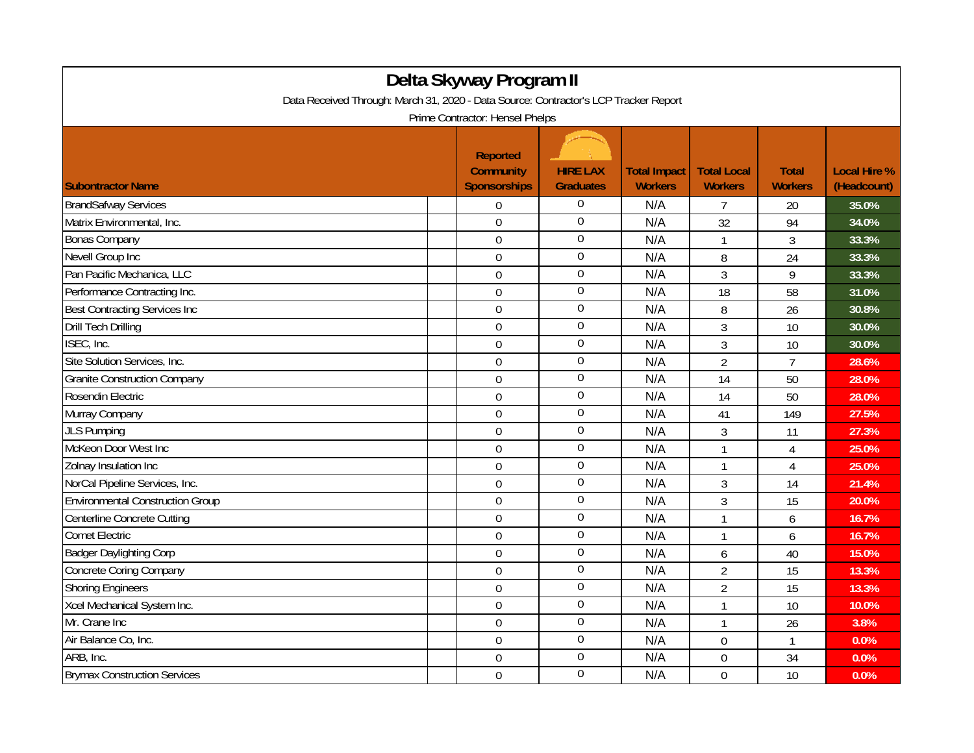| Delta Skyway Program II                                                              |                                                            |                                     |                                       |                                      |                                |                                    |  |  |
|--------------------------------------------------------------------------------------|------------------------------------------------------------|-------------------------------------|---------------------------------------|--------------------------------------|--------------------------------|------------------------------------|--|--|
| Data Received Through: March 31, 2020 - Data Source: Contractor's LCP Tracker Report |                                                            |                                     |                                       |                                      |                                |                                    |  |  |
| Prime Contractor: Hensel Phelps                                                      |                                                            |                                     |                                       |                                      |                                |                                    |  |  |
| <b>Subontractor Name</b>                                                             | <b>Reported</b><br><b>Community</b><br><b>Sponsorships</b> | <b>HIRE LAX</b><br><b>Graduates</b> | <b>Total Impact</b><br><b>Workers</b> | <b>Total Local</b><br><b>Workers</b> | <b>Total</b><br><b>Workers</b> | <b>Local Hire %</b><br>(Headcount) |  |  |
| <b>BrandSafway Services</b>                                                          | $\overline{0}$                                             | $\Omega$                            | N/A                                   | $\overline{7}$                       | 20                             | 35.0%                              |  |  |
| Matrix Environmental, Inc.                                                           | $\mathbf 0$                                                | $\mathbf 0$                         | N/A                                   | 32                                   | 94                             | 34.0%                              |  |  |
| <b>Bonas Company</b>                                                                 | $\overline{0}$                                             | $\boldsymbol{0}$                    | N/A                                   | $\mathbf{1}$                         | 3                              | 33.3%                              |  |  |
| Nevell Group Inc                                                                     | $\mathbf 0$                                                | $\overline{0}$                      | N/A                                   | 8                                    | 24                             | 33.3%                              |  |  |
| Pan Pacific Mechanica, LLC                                                           | $\mathbf 0$                                                | $\boldsymbol{0}$                    | N/A                                   | $\overline{3}$                       | 9                              | 33.3%                              |  |  |
| Performance Contracting Inc.                                                         | $\overline{0}$                                             | $\boldsymbol{0}$                    | N/A                                   | 18                                   | 58                             | 31.0%                              |  |  |
| <b>Best Contracting Services Inc</b>                                                 | $\mathbf 0$                                                | $\overline{0}$                      | N/A                                   | 8                                    | 26                             | 30.8%                              |  |  |
| <b>Drill Tech Drilling</b>                                                           | $\mathbf 0$                                                | $\boldsymbol{0}$                    | N/A                                   | 3                                    | 10                             | 30.0%                              |  |  |
| ISEC, Inc.                                                                           | 0                                                          | $\overline{0}$                      | N/A                                   | 3                                    | 10                             | 30.0%                              |  |  |
| Site Solution Services, Inc.                                                         | $\overline{0}$                                             | $\overline{0}$                      | N/A                                   | $\overline{2}$                       | $\overline{7}$                 | 28.6%                              |  |  |
| <b>Granite Construction Company</b>                                                  | $\overline{0}$                                             | $\overline{0}$                      | N/A                                   | 14                                   | 50                             | 28.0%                              |  |  |
| Rosendin Electric                                                                    | $\mathbf 0$                                                | $\overline{0}$                      | N/A                                   | 14                                   | 50                             | 28.0%                              |  |  |
| Murray Company                                                                       | $\overline{0}$                                             | $\boldsymbol{0}$                    | N/A                                   | 41                                   | 149                            | 27.5%                              |  |  |
| <b>JLS Pumping</b>                                                                   | $\mathbf 0$                                                | $\boldsymbol{0}$                    | N/A                                   | 3                                    | 11                             | 27.3%                              |  |  |
| McKeon Door West Inc                                                                 | $\mathbf 0$                                                | $\boldsymbol{0}$                    | N/A                                   | $\mathbf{1}$                         | $\overline{4}$                 | 25.0%                              |  |  |
| Zolnay Insulation Inc                                                                | $\overline{0}$                                             | $\boldsymbol{0}$                    | N/A                                   | $\mathbf{1}$                         | $\overline{4}$                 | 25.0%                              |  |  |
| NorCal Pipeline Services, Inc.                                                       | $\mathbf 0$                                                | $\overline{0}$                      | N/A                                   | 3                                    | 14                             | 21.4%                              |  |  |
| <b>Environmental Construction Group</b>                                              | $\mathbf 0$                                                | $\boldsymbol{0}$                    | N/A                                   | 3                                    | 15                             | 20.0%                              |  |  |
| Centerline Concrete Cutting                                                          | $\mathbf 0$                                                | $\boldsymbol{0}$                    | N/A                                   | $\mathbf{1}$                         | 6                              | 16.7%                              |  |  |
| <b>Comet Electric</b>                                                                | $\overline{0}$                                             | $\overline{0}$                      | N/A                                   | $\mathbf{1}$                         | 6                              | 16.7%                              |  |  |
| <b>Badger Daylighting Corp</b>                                                       | $\overline{0}$                                             | $\overline{0}$                      | N/A                                   | 6                                    | 40                             | 15.0%                              |  |  |
| <b>Concrete Coring Company</b>                                                       | 0                                                          | $\overline{0}$                      | N/A                                   | $\overline{2}$                       | 15                             | 13.3%                              |  |  |
| <b>Shoring Engineers</b>                                                             | $\overline{0}$                                             | $\boldsymbol{0}$                    | N/A                                   | $\overline{2}$                       | 15                             | 13.3%                              |  |  |
| Xcel Mechanical System Inc.                                                          | $\mathbf 0$                                                | $\boldsymbol{0}$                    | N/A                                   | $\mathbf{1}$                         | 10                             | 10.0%                              |  |  |
| Mr. Crane Inc                                                                        | $\mathbf 0$                                                | $\overline{0}$                      | N/A                                   | $\mathbf{1}$                         | 26                             | 3.8%                               |  |  |
| Air Balance Co, Inc.                                                                 | $\overline{0}$                                             | $\boldsymbol{0}$                    | N/A                                   | 0                                    | $\mathbf{1}$                   | 0.0%                               |  |  |
| ARB, Inc.                                                                            | $\mathbf 0$                                                | $\overline{0}$                      | N/A                                   | 0                                    | 34                             | 0.0%                               |  |  |
| <b>Brymax Construction Services</b>                                                  | $\mathbf 0$                                                | $\boldsymbol{0}$                    | N/A                                   | 0                                    | 10                             | 0.0%                               |  |  |